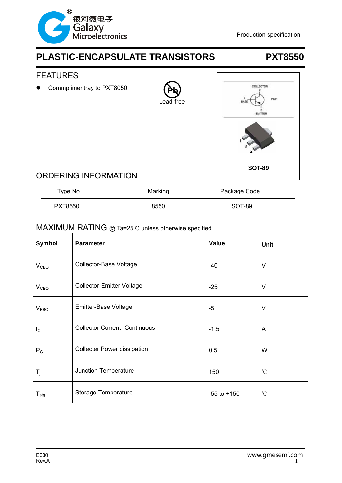



## ORDERING INFORMATION

| Type No.       | Marking | Package Code |
|----------------|---------|--------------|
| <b>PXT8550</b> | 8550    | SOT-89       |

### MAXIMUM RATING @ Ta=25℃ unless otherwise specified

| <b>Symbol</b>    | <b>Parameter</b>                     | <b>Value</b>    | <b>Unit</b>  |
|------------------|--------------------------------------|-----------------|--------------|
| V <sub>CBO</sub> | <b>Collector-Base Voltage</b>        | $-40$           | $\vee$       |
| V <sub>CEO</sub> | <b>Collector-Emitter Voltage</b>     | $-25$           | V            |
| V <sub>EBO</sub> | Emitter-Base Voltage                 | $-5$            | V            |
| $I_{\rm C}$      | <b>Collector Current -Continuous</b> | $-1.5$          | A            |
| $P_{C}$          | <b>Collecter Power dissipation</b>   | 0.5             | W            |
| $T_{\rm j}$      | Junction Temperature                 | 150             | °C           |
| $T_{\text{stg}}$ | Storage Temperature                  | $-55$ to $+150$ | $^{\circ}$ C |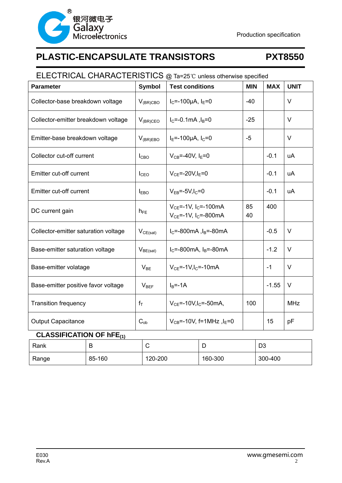

# ELECTRICAL CHARACTERISTICS @ Ta=25℃ unless otherwise specified Parameter **Symbol Test conditions** MIN MAX UNIT Collector-base breakdown voltage  $|V_{(BR)CBO} |_{C} = -100 \mu A$ ,  $I_{E} = 0$   $-40$   $|V|$ Collector-emitter breakdown voltage  $|V_{(BR)CEO}|_{C}$  =-0.1mA ,  $I_{B}=0$  -25  $|V|$ Emitter-base breakdown voltage  $|V_{(BR)EBO}|_{E}$ =-100µA,  $|_{C}=0$   $|-5$   $|V|$ Collector cut-off current  $\vert$   $\vert$ <sub>CBO</sub>  $\vert$   $\vert$   $\vert$ <sub>CB</sub>=-40V,  $\vert$ <sub>E</sub>=0  $\vert$   $\vert$  -0.1  $\vert$  uA Emitter cut-off current ICEO VCE=-20V,IE=0 -0.1 uA Emitter cut-off current  $|V_{EB} = -5V, I_C = 0$   $|V_{EB} = -5V, I_C = 0$   $|0.1 \rangle$ DC current gain  $h_{FE}$  $V_{CE}$ =-1V, I<sub>C</sub>=-100mA  $V_{CE}$ =-1V, I<sub>C</sub>=-800mA 85 40 400 Collector-emitter saturation voltage  $\vert V_{CE(sat)} \vert l_c = 800$  mA  $\vert$   $\vert$  -0.5  $\vert$  V Base-emitter saturation voltage  $|V_{BE(sat)}|_{E=800mA, I_{B}=80mA}$  | -1.2 | V Base-emitter volatage  $\vert$   $V_{BE}$   $\vert$   $V_{CE}$ =-1V, I<sub>C</sub>=-10mA  $\vert$  -1  $\vert$  V Base-emitter positive favor voltage  $\vert$  V<sub>BEF</sub>  $\vert$  I<sub>B</sub>=-1A  $\vert$  -1.55 V Transition frequency  $f_T$   $V_{CE}$ =-10V,I<sub>C</sub>=-50mA, 100 MHz Output Capacitance Cob VCB=-10V, f=1MHz ,IE=0 15 pF

### **CLASSIFICATION OF hFE(1)**

| Rank  | D      |         | ◡       | D <sub>3</sub> |
|-------|--------|---------|---------|----------------|
| Range | 85-160 | 120-200 | 160-300 | 300-400        |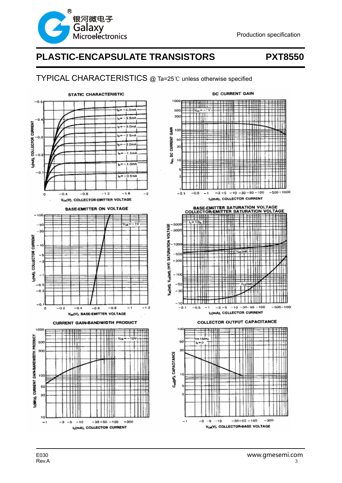

### TYPICAL CHARACTERISTICS @ Ta=25℃ unless otherwise specified